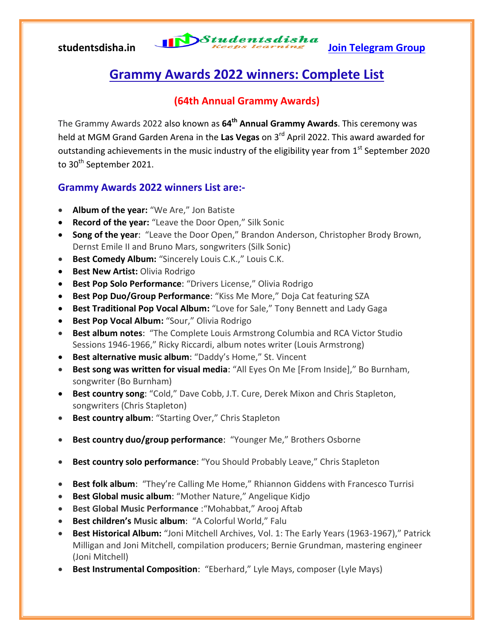# studentsdisha.in **International Studentsdisha**<br>Ioin Telegram Group

## **Grammy Awards 2022 winners: Complete List**

### **(64th Annual Grammy Awards)**

The Grammy Awards 2022 also known as **64th Annual Grammy Awards**. This ceremony was held at MGM Grand Garden Arena in the Las Vegas on 3<sup>rd</sup> April 2022. This award awarded for outstanding achievements in the music industry of the eligibility year from  $1<sup>st</sup>$  September 2020 to 30<sup>th</sup> September 2021.

### **Grammy Awards 2022 winners List are:-**

- **Album of the year:** "We Are," Jon Batiste
- **Record of the year:** "Leave the Door Open," Silk Sonic
- **Song of the year**: "Leave the Door Open," Brandon Anderson, Christopher Brody Brown, Dernst Emile II and Bruno Mars, songwriters (Silk Sonic)
- **Best Comedy Album:** "Sincerely Louis C.K.," Louis C.K.
- **Best New Artist: Olivia Rodrigo**
- **Best Pop Solo Performance:** "Drivers License," Olivia Rodrigo
- **Best Pop Duo/Group Performance**: "Kiss Me More," Doja Cat featuring SZA
- **Best Traditional Pop Vocal Album:** "Love for Sale," Tony Bennett and Lady Gaga
- **Best Pop Vocal Album:** "Sour," Olivia Rodrigo
- **Best album notes**: "The Complete Louis Armstrong Columbia and RCA Victor Studio Sessions 1946-1966," Ricky Riccardi, album notes writer (Louis Armstrong)
- **Best alternative music album**: "Daddy's Home," St. Vincent
- **Best song was written for visual media:** "All Eyes On Me [From Inside]," Bo Burnham, songwriter (Bo Burnham)
- **Best country song**: "Cold," Dave Cobb, J.T. Cure, Derek Mixon and Chris Stapleton, songwriters (Chris Stapleton)
- **Best country album**: "Starting Over," Chris Stapleton
- **Best country duo/group performance**: "Younger Me," Brothers Osborne
- **Best country solo performance**: "You Should Probably Leave," Chris Stapleton
- **Best folk album**: "They're Calling Me Home," Rhiannon Giddens with Francesco Turrisi
- **Best Global music album:** "Mother Nature," Angelique Kidjo
- **Best Global Music Performance** :"Mohabbat," Arooj Aftab
- **Best children's Music album**: "A Colorful World," Falu
- **Best Historical Album:** "Joni Mitchell Archives, Vol. 1: The Early Years (1963-1967)," Patrick Milligan and Joni Mitchell, compilation producers; Bernie Grundman, mastering engineer (Joni Mitchell)
- **Best Instrumental Composition**: "Eberhard," Lyle Mays, composer (Lyle Mays)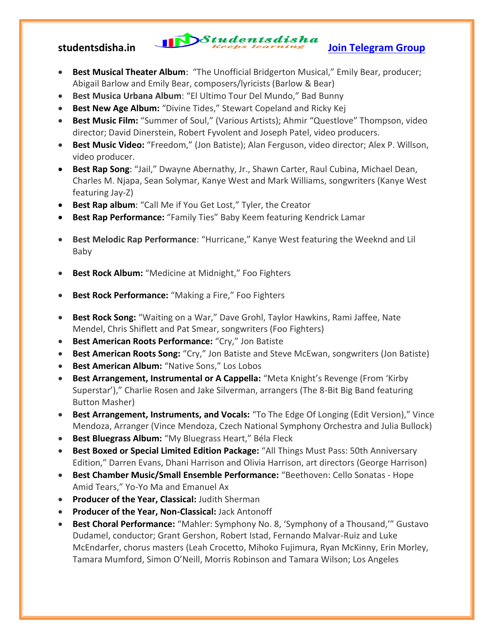# studentsdisha.in **International Studentsdisha**<br>Ioin Telegram Group

- **Best Musical Theater Album**: "The Unofficial Bridgerton Musical," Emily Bear, producer; Abigail Barlow and Emily Bear, composers/lyricists (Barlow & Bear)
- **Best Musica Urbana Album**: "El Ultimo Tour Del Mundo," Bad Bunny
- **Best New Age Album:** "Divine Tides," Stewart Copeland and Ricky Kej
- **Best Music Film:** "Summer of Soul," (Various Artists); Ahmir "Questlove" Thompson, video director; David Dinerstein, Robert Fyvolent and Joseph Patel, video producers.
- **Best Music Video:** "Freedom," (Jon Batiste); Alan Ferguson, video director; Alex P. Willson, video producer.
- **Best Rap Song**: "Jail," Dwayne Abernathy, Jr., Shawn Carter, Raul Cubina, Michael Dean, Charles M. Njapa, Sean Solymar, Kanye West and Mark Williams, songwriters (Kanye West featuring Jay-Z)
- **Best Rap album:** "Call Me if You Get Lost," Tyler, the Creator
- **Best Rap Performance:** "Family Ties" Baby Keem featuring Kendrick Lamar
- **Best Melodic Rap Performance**: "Hurricane," Kanye West featuring the Weeknd and Lil Baby
- **Best Rock Album:** "Medicine at Midnight," Foo Fighters
- **Best Rock Performance:** "Making a Fire," Foo Fighters
- **Best Rock Song:** "Waiting on a War," Dave Grohl, Taylor Hawkins, Rami Jaffee, Nate Mendel, Chris Shiflett and Pat Smear, songwriters (Foo Fighters)
- **Best American Roots Performance:** "Cry," Jon Batiste
- **Best American Roots Song:** "Cry," Jon Batiste and Steve McEwan, songwriters (Jon Batiste)
- **Best American Album:** "Native Sons," Los Lobos
- **Best Arrangement, Instrumental or A Cappella:** "Meta Knight's Revenge (From 'Kirby Superstar')," Charlie Rosen and Jake Silverman, arrangers (The 8-Bit Big Band featuring Button Masher)
- **Best Arrangement, Instruments, and Vocals:** "To The Edge Of Longing (Edit Version)," Vince Mendoza, Arranger (Vince Mendoza, Czech National Symphony Orchestra and Julia Bullock)
- **Best Bluegrass Album: "My Bluegrass Heart," Béla Fleck**
- **Best Boxed or Special Limited Edition Package:** "All Things Must Pass: 50th Anniversary Edition," Darren Evans, Dhani Harrison and Olivia Harrison, art directors (George Harrison)
- **Best Chamber Music/Small Ensemble Performance:** "Beethoven: Cello Sonatas Hope Amid Tears," Yo-Yo Ma and Emanuel Ax
- **Producer of the Year, Classical:** Judith Sherman
- **Producer of the Year, Non-Classical:** Jack Antonoff
- **Best Choral Performance:** "Mahler: Symphony No. 8, 'Symphony of a Thousand,'" Gustavo Dudamel, conductor; Grant Gershon, Robert Istad, Fernando Malvar-Ruiz and Luke McEndarfer, chorus masters (Leah Crocetto, Mihoko Fujimura, Ryan McKinny, Erin Morley, Tamara Mumford, Simon O'Neill, Morris Robinson and Tamara Wilson; Los Angeles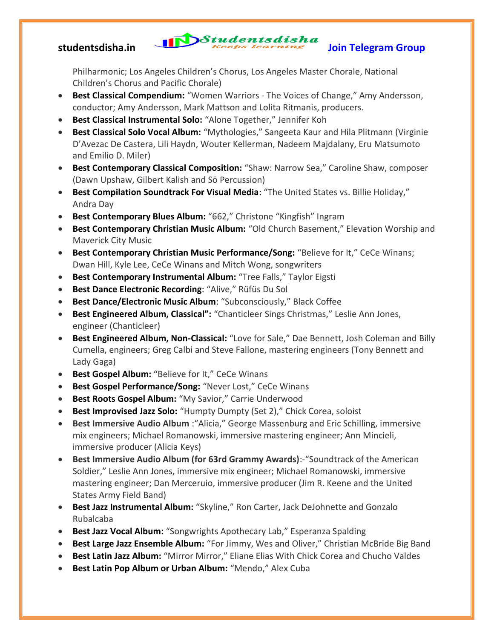# studentsdisha.in **International Studentsdisha**<br>Ioin Telegram Group

Philharmonic; Los Angeles Children's Chorus, Los Angeles Master Chorale, National Children's Chorus and Pacific Chorale)

- **Best Classical Compendium:** "Women Warriors The Voices of Change," Amy Andersson, conductor; Amy Andersson, Mark Mattson and Lolita Ritmanis, producers.
- **Best Classical Instrumental Solo:** "Alone Together," Jennifer Koh
- **Best Classical Solo Vocal Album:** "Mythologies," Sangeeta Kaur and Hila Plitmann (Virginie D'Avezac De Castera, Lili Haydn, Wouter Kellerman, Nadeem Majdalany, Eru Matsumoto and Emilio D. Miler)
- **Best Contemporary Classical Composition:** "Shaw: Narrow Sea," Caroline Shaw, composer (Dawn Upshaw, Gilbert Kalish and Sō Percussion)
- **Best Compilation Soundtrack For Visual Media:** "The United States vs. Billie Holiday," Andra Day
- **Best Contemporary Blues Album:** "662," Christone "Kingfish" Ingram
- **Best Contemporary Christian Music Album:** "Old Church Basement," Elevation Worship and Maverick City Music
- **Best Contemporary Christian Music Performance/Song:** "Believe for It," CeCe Winans; Dwan Hill, Kyle Lee, CeCe Winans and Mitch Wong, songwriters
- **Best Contemporary Instrumental Album:** "Tree Falls," Taylor Eigsti
- **Best Dance Electronic Recording**: "Alive," Rüfüs Du Sol
- **Best Dance/Electronic Music Album**: "Subconsciously," Black Coffee
- **Best Engineered Album, Classical":** "Chanticleer Sings Christmas," Leslie Ann Jones, engineer (Chanticleer)
- **Best Engineered Album, Non-Classical:** "Love for Sale," Dae Bennett, Josh Coleman and Billy Cumella, engineers; Greg Calbi and Steve Fallone, mastering engineers (Tony Bennett and Lady Gaga)
- **Best Gospel Album:** "Believe for It," CeCe Winans
- **Best Gospel Performance/Song:** "Never Lost," CeCe Winans
- **Best Roots Gospel Album:** "My Savior," Carrie Underwood
- **Best Improvised Jazz Solo:** "Humpty Dumpty (Set 2)," Chick Corea, soloist
- **Best Immersive Audio Album** :"Alicia," George Massenburg and Eric Schilling, immersive mix engineers; Michael Romanowski, immersive mastering engineer; Ann Mincieli, immersive producer (Alicia Keys)
- **Best Immersive Audio Album (for 63rd Grammy Awards)**:-"Soundtrack of the American Soldier," Leslie Ann Jones, immersive mix engineer; Michael Romanowski, immersive mastering engineer; Dan Merceruio, immersive producer (Jim R. Keene and the United States Army Field Band)
- **Best Jazz Instrumental Album:** "Skyline," Ron Carter, Jack DeJohnette and Gonzalo Rubalcaba
- **Best Jazz Vocal Album:** "Songwrights Apothecary Lab," Esperanza Spalding
- **Best Large Jazz Ensemble Album:** "For Jimmy, Wes and Oliver," Christian McBride Big Band
- **Best Latin Jazz Album:** "Mirror Mirror," Eliane Elias With Chick Corea and Chucho Valdes
- **Best Latin Pop Album or Urban Album:** "Mendo," Alex Cuba